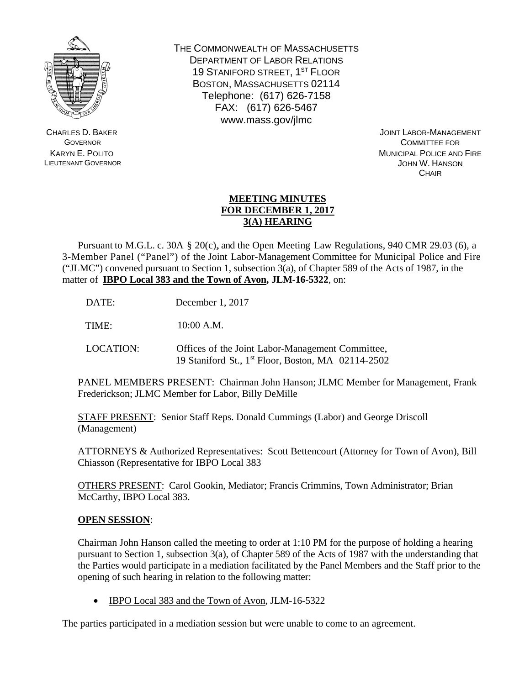

CHARLES D. BAKER **GOVERNOR** KARYN E. POLITO LIEUTENANT GOVERNOR THE COMMONWEALTH OF MASSACHUSETTS DEPARTMENT OF LABOR RELATIONS 19 STANIFORD STREET, 1ST FLOOR BOSTON, MASSACHUSETTS 02114 Telephone: (617) 626-7158 FAX: (617) 626-5467 www.mass.gov/jlmc

> JOINT LABOR-MANAGEMENT COMMITTEE FOR MUNICIPAL POLICE AND FIRE JOHN W. HANSON **CHAIR**

## **MEETING MINUTES FOR DECEMBER 1, 2017 3(A) HEARING**

 Pursuant to M.G.L. c. 30A § 20(c), and the Open Meeting Law Regulations, 940 CMR 29.03 (6), a 3-Member Panel ("Panel") of the Joint Labor-Management Committee for Municipal Police and Fire ("JLMC") convened pursuant to Section 1, subsection 3(a), of Chapter 589 of the Acts of 1987, in the matter of **IBPO Local 383 and the Town of Avon, JLM-16-5322**, on:

DATE: December 1, 2017

TIME: 10:00 A.M.

LOCATION: Offices of the Joint Labor-Management Committee, 19 Staniford St., 1st Floor, Boston, MA 02114-2502

PANEL MEMBERS PRESENT: Chairman John Hanson; JLMC Member for Management, Frank Frederickson; JLMC Member for Labor, Billy DeMille

STAFF PRESENT: Senior Staff Reps. Donald Cummings (Labor) and George Driscoll (Management)

ATTORNEYS & Authorized Representatives: Scott Bettencourt (Attorney for Town of Avon), Bill Chiasson (Representative for IBPO Local 383

OTHERS PRESENT: Carol Gookin, Mediator; Francis Crimmins, Town Administrator; Brian McCarthy, IBPO Local 383.

## **OPEN SESSION**:

Chairman John Hanson called the meeting to order at 1:10 PM for the purpose of holding a hearing pursuant to Section 1, subsection 3(a), of Chapter 589 of the Acts of 1987 with the understanding that the Parties would participate in a mediation facilitated by the Panel Members and the Staff prior to the opening of such hearing in relation to the following matter:

• IBPO Local 383 and the Town of Avon, JLM-16-5322

The parties participated in a mediation session but were unable to come to an agreement.